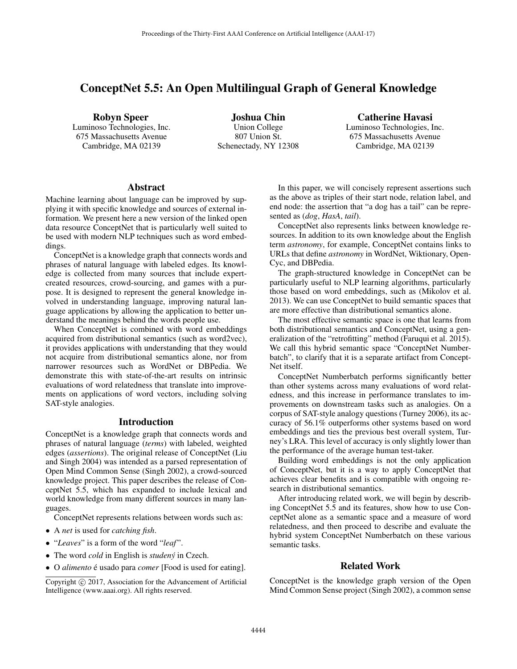# ConceptNet 5.5: An Open Multilingual Graph of General Knowledge

Robyn Speer Luminoso Technologies, Inc. 675 Massachusetts Avenue Cambridge, MA 02139

Joshua Chin Union College 807 Union St. Schenectady, NY 12308

Catherine Havasi Luminoso Technologies, Inc. 675 Massachusetts Avenue Cambridge, MA 02139

## Abstract

Machine learning about language can be improved by supplying it with specific knowledge and sources of external information. We present here a new version of the linked open data resource ConceptNet that is particularly well suited to be used with modern NLP techniques such as word embeddings.

ConceptNet is a knowledge graph that connects words and phrases of natural language with labeled edges. Its knowledge is collected from many sources that include expertcreated resources, crowd-sourcing, and games with a purpose. It is designed to represent the general knowledge involved in understanding language, improving natural language applications by allowing the application to better understand the meanings behind the words people use.

When ConceptNet is combined with word embeddings acquired from distributional semantics (such as word2vec), it provides applications with understanding that they would not acquire from distributional semantics alone, nor from narrower resources such as WordNet or DBPedia. We demonstrate this with state-of-the-art results on intrinsic evaluations of word relatedness that translate into improvements on applications of word vectors, including solving SAT-style analogies.

#### Introduction

ConceptNet is a knowledge graph that connects words and phrases of natural language (*terms*) with labeled, weighted edges (*assertions*). The original release of ConceptNet (Liu and Singh 2004) was intended as a parsed representation of Open Mind Common Sense (Singh 2002), a crowd-sourced knowledge project. This paper describes the release of ConceptNet 5.5, which has expanded to include lexical and world knowledge from many different sources in many languages.

ConceptNet represents relations between words such as:

- A *net* is used for *catching fish*.
- "*Leaves*" is a form of the word "*leaf* ".
- The word *cold* in English is *studený* in Czech.
- O *alimento* é usado para *comer* [Food is used for eating].

In this paper, we will concisely represent assertions such as the above as triples of their start node, relation label, and end node: the assertion that "a dog has a tail" can be represented as (*dog*, *HasA*, *tail*).

ConceptNet also represents links between knowledge resources. In addition to its own knowledge about the English term *astronomy*, for example, ConceptNet contains links to URLs that define *astronomy* in WordNet, Wiktionary, Open-Cyc, and DBPedia.

The graph-structured knowledge in ConceptNet can be particularly useful to NLP learning algorithms, particularly those based on word embeddings, such as (Mikolov et al. 2013). We can use ConceptNet to build semantic spaces that are more effective than distributional semantics alone.

The most effective semantic space is one that learns from both distributional semantics and ConceptNet, using a generalization of the "retrofitting" method (Faruqui et al. 2015). We call this hybrid semantic space "ConceptNet Numberbatch", to clarify that it is a separate artifact from Concept-Net itself.

ConceptNet Numberbatch performs significantly better than other systems across many evaluations of word relatedness, and this increase in performance translates to improvements on downstream tasks such as analogies. On a corpus of SAT-style analogy questions (Turney 2006), its accuracy of 56.1% outperforms other systems based on word embeddings and ties the previous best overall system, Turney's LRA. This level of accuracy is only slightly lower than the performance of the average human test-taker.

Building word embeddings is not the only application of ConceptNet, but it is a way to apply ConceptNet that achieves clear benefits and is compatible with ongoing research in distributional semantics.

After introducing related work, we will begin by describing ConceptNet 5.5 and its features, show how to use ConceptNet alone as a semantic space and a measure of word relatedness, and then proceed to describe and evaluate the hybrid system ConceptNet Numberbatch on these various semantic tasks.

## Related Work

ConceptNet is the knowledge graph version of the Open Mind Common Sense project (Singh 2002), a common sense

Copyright  $\odot$  2017, Association for the Advancement of Artificial Intelligence (www.aaai.org). All rights reserved.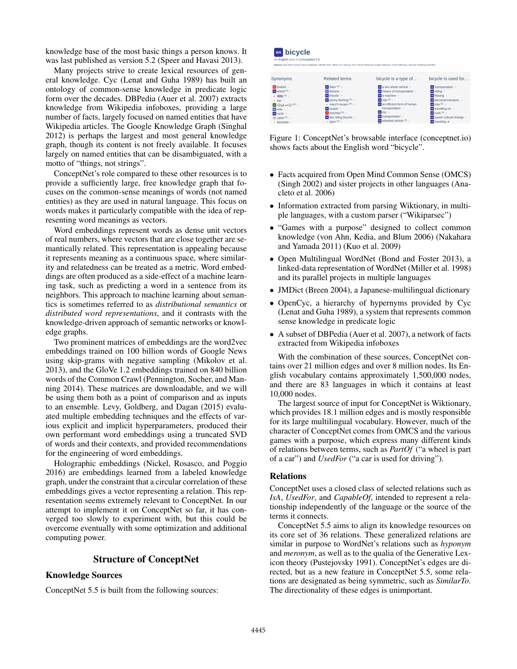knowledge base of the most basic things a person knows. It was last published as version 5.2 (Speer and Havasi 2013).

Many projects strive to create lexical resources of general knowledge. Cyc (Lenat and Guha 1989) has built an ontology of common-sense knowledge in predicate logic form over the decades. DBPedia (Auer et al. 2007) extracts knowledge from Wikipedia infoboxes, providing a large number of facts, largely focused on named entities that have Wikipedia articles. The Google Knowledge Graph (Singhal 2012) is perhaps the largest and most general knowledge graph, though its content is not freely available. It focuses largely on named entities that can be disambiguated, with a motto of "things, not strings".

ConceptNet's role compared to these other resources is to provide a sufficiently large, free knowledge graph that focuses on the common-sense meanings of words (not named entities) as they are used in natural language. This focus on words makes it particularly compatible with the idea of representing word meanings as vectors.

Word embeddings represent words as dense unit vectors of real numbers, where vectors that are close together are semantically related. This representation is appealing because it represents meaning as a continuous space, where similarity and relatedness can be treated as a metric. Word embeddings are often produced as a side-effect of a machine learning task, such as predicting a word in a sentence from its neighbors. This approach to machine learning about semantics is sometimes referred to as *distributional semantics* or *distributed word representations*, and it contrasts with the knowledge-driven approach of semantic networks or knowledge graphs.

Two prominent matrices of embeddings are the word2vec embeddings trained on 100 billion words of Google News using skip-grams with negative sampling (Mikolov et al. 2013), and the GloVe 1.2 embeddings trained on 840 billion words of the Common Crawl (Pennington, Socher, and Manning 2014). These matrices are downloadable, and we will be using them both as a point of comparison and as inputs to an ensemble. Levy, Goldberg, and Dagan (2015) evaluated multiple embedding techniques and the effects of various explicit and implicit hyperparameters, produced their own performant word embeddings using a truncated SVD of words and their contexts, and provided recommendations for the engineering of word embeddings.

Holographic embeddings (Nickel, Rosasco, and Poggio 2016) are embeddings learned from a labeled knowledge graph, under the constraint that a circular correlation of these embeddings gives a vector representing a relation. This representation seems extremely relevant to ConceptNet. In our attempt to implement it on ConceptNet so far, it has converged too slowly to experiment with, but this could be overcome eventually with some optimization and additional computing power.

### Structure of ConceptNet

## Knowledge Sources

ConceptNet 5.5 is built from the following sources:

# en bicycle

| Synonyms                                          | <b>Related terms</b>                           | bicycle is a type of                            | bicycle is used for                             |
|---------------------------------------------------|------------------------------------------------|-------------------------------------------------|-------------------------------------------------|
| $\blacksquare$ bisiklet $\rightarrow$             | $\frac{1}{20}$ biker $^{(n)} \rightarrow$      | a two wheel vehicle ->                          | $\alpha$ transportation $\rightarrow$           |
| $\frac{1}{2}$ wheel $^{(n)} \rightarrow$          | $\blacksquare$ bécane $\rightarrow$            | $\bullet$ means of transportation $\rightarrow$ | $\overline{a}$ riding $\rightarrow$             |
| ja 銀輪(m) →                                        | $\overline{\mathbf{m}}$ tricvcle $\rightarrow$ | $\alpha$ a machine $\rightarrow$                | $\overline{\mathbf{m}}$ Racing $\rightarrow$    |
| $n$ bici $\rightarrow$                            | $\alpha$ penny farthing $^{(n)} \rightarrow$   | $\frac{1}{20}$ ride $(9)$ $\rightarrow$         | $\alpha$ personal transport $\rightarrow$       |
| $\blacksquare$ دَرًّا که هَوَانتُه $\blacksquare$ | $\approx$ marc'h houarn (n) $\rightarrow$      | to an efficient form of human                   | $\mathbf{m}$ ride $\mathbf{W} \rightarrow$      |
| <b>In vélo</b> ->                                 | $\overline{\mathbf{m}}$ propel $\rightarrow$   | transportation ->                               | $\alpha$ travelling on $\rightarrow$            |
| $\overline{ab}$ cycle $\rightarrow$               | $\overline{a}$ bicicleta $(0)$ $\rightarrow$   | en tov ->                                       | $an$ rush $(9) \rightarrow$                     |
| da cykel $^{(n)} \rightarrow$                     | to like riding bicycle ->                      | $\alpha$ transportation $\rightarrow$           | cause cultural change ->                        |
| $n$ bicicletta $\rightarrow$                      | $\approx$ gasp $^{(n)} \rightarrow$            | $\frac{1}{2}$ wheeled vehicle $(n) \rightarrow$ | $\overline{\mathbf{m}}$ traveling $\rightarrow$ |

Figure 1: ConceptNet's browsable interface (conceptnet.io) shows facts about the English word "bicycle".

- Facts acquired from Open Mind Common Sense (OMCS) (Singh 2002) and sister projects in other languages (Anacleto et al. 2006)
- Information extracted from parsing Wiktionary, in multiple languages, with a custom parser ("Wikiparsec")
- "Games with a purpose" designed to collect common knowledge (von Ahn, Kedia, and Blum 2006) (Nakahara and Yamada 2011) (Kuo et al. 2009)
- Open Multilingual WordNet (Bond and Foster 2013), a linked-data representation of WordNet (Miller et al. 1998) and its parallel projects in multiple languages
- JMDict (Breen 2004), a Japanese-multilingual dictionary
- OpenCyc, a hierarchy of hypernyms provided by Cyc (Lenat and Guha 1989), a system that represents common sense knowledge in predicate logic
- A subset of DBPedia (Auer et al. 2007), a network of facts extracted from Wikipedia infoboxes

With the combination of these sources, ConceptNet contains over 21 million edges and over 8 million nodes. Its English vocabulary contains approximately 1,500,000 nodes, and there are 83 languages in which it contains at least 10,000 nodes.

The largest source of input for ConceptNet is Wiktionary, which provides 18.1 million edges and is mostly responsible for its large multilingual vocabulary. However, much of the character of ConceptNet comes from OMCS and the various games with a purpose, which express many different kinds of relations between terms, such as *PartOf* ("a wheel is part of a car") and *UsedFor* ("a car is used for driving").

#### Relations

ConceptNet uses a closed class of selected relations such as *IsA*, *UsedFor*, and *CapableOf*, intended to represent a relationship independently of the language or the source of the terms it connects.

ConceptNet 5.5 aims to align its knowledge resources on its core set of 36 relations. These generalized relations are similar in purpose to WordNet's relations such as *hyponym* and *meronym*, as well as to the qualia of the Generative Lexicon theory (Pustejovsky 1991). ConceptNet's edges are directed, but as a new feature in ConceptNet 5.5, some relations are designated as being symmetric, such as *SimilarTo*. The directionality of these edges is unimportant.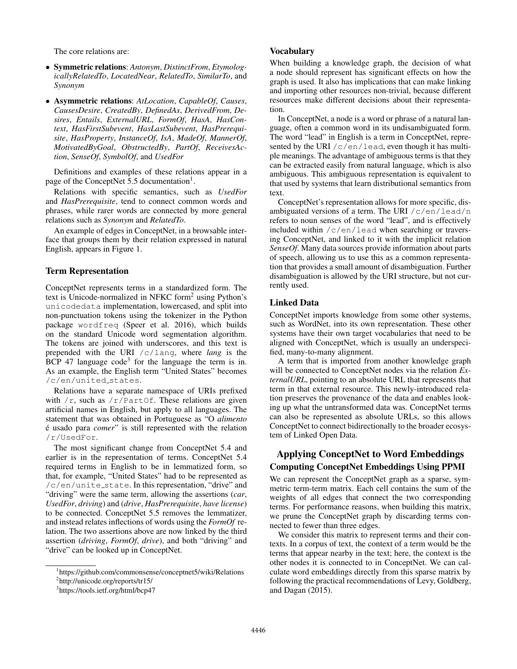The core relations are:

- Symmetric relations: *Antonym*, *DistinctFrom*, *EtymologicallyRelatedTo*, *LocatedNear*, *RelatedTo*, *SimilarTo*, and *Synonym*
- Asymmetric relations: *AtLocation*, *CapableOf*, *Causes*, *CausesDesire*, *CreatedBy*, *DefinedAs*, *DerivedFrom*, *Desires*, *Entails*, *ExternalURL*, *FormOf*, *HasA*, *HasContext*, *HasFirstSubevent*, *HasLastSubevent*, *HasPrerequisite*, *HasProperty*, *InstanceOf*, *IsA*, *MadeOf*, *MannerOf*, *MotivatedByGoal*, *ObstructedBy*, *PartOf*, *ReceivesAction*, *SenseOf*, *SymbolOf*, and *UsedFor*

Definitions and examples of these relations appear in a page of the ConceptNet 5.5 documentation<sup>1</sup>.

Relations with specific semantics, such as *UsedFor* and *HasPrerequisite*, tend to connect common words and phrases, while rarer words are connected by more general relations such as *Synonym* and *RelatedTo*.

An example of edges in ConceptNet, in a browsable interface that groups them by their relation expressed in natural English, appears in Figure 1.

#### Term Representation

ConceptNet represents terms in a standardized form. The text is Unicode-normalized in NFKC form2 using Python's unicodedata implementation, lowercased, and split into non-punctuation tokens using the tokenizer in the Python package wordfreq (Speer et al. 2016), which builds on the standard Unicode word segmentation algorithm. The tokens are joined with underscores, and this text is prepended with the URI /c/lang, where *lang* is the  $\text{BCP}$  47 language code<sup>3</sup> for the language the term is in. As an example, the English term "United States" becomes /c/en/united states.

Relations have a separate namespace of URIs prefixed with  $/r$ , such as  $/r$ /PartOf. These relations are given artificial names in English, but apply to all languages. The statement that was obtained in Portuguese as "O *alimento*  $\acute{\text{e}}$  usado para *comer*" is still represented with the relation /r/UsedFor.

The most significant change from ConceptNet 5.4 and earlier is in the representation of terms. ConceptNet 5.4 required terms in English to be in lemmatized form, so that, for example, "United States" had to be represented as /c/en/unite state. In this representation, "drive" and "driving" were the same term, allowing the assertions (*car*, *UsedFor*, *driving*) and (*drive*, *HasPrerequisite*, *have license*) to be connected. ConceptNet 5.5 removes the lemmatizer, and instead relates inflections of words using the *FormOf* relation. The two assertions above are now linked by the third assertion (*driving*, *FormOf*, *drive*), and both "driving" and "drive" can be looked up in ConceptNet.

## **Vocabulary**

When building a knowledge graph, the decision of what a node should represent has significant effects on how the graph is used. It also has implications that can make linking and importing other resources non-trivial, because different resources make different decisions about their representation.

In ConceptNet, a node is a word or phrase of a natural language, often a common word in its undisambiguated form. The word "lead" in English is a term in ConceptNet, represented by the URI  $/c$ /en/lead, even though it has multiple meanings. The advantage of ambiguous terms is that they can be extracted easily from natural language, which is also ambiguous. This ambiguous representation is equivalent to that used by systems that learn distributional semantics from text.

ConceptNet's representation allows for more specific, disambiguated versions of a term. The URI  $/c/en/lead/n$ refers to noun senses of the word "lead", and is effectively included within  $/c/en/lead$  when searching or traversing ConceptNet, and linked to it with the implicit relation *SenseOf*. Many data sources provide information about parts of speech, allowing us to use this as a common representation that provides a small amount of disambiguation. Further disambiguation is allowed by the URI structure, but not currently used.

#### Linked Data

ConceptNet imports knowledge from some other systems, such as WordNet, into its own representation. These other systems have their own target vocabularies that need to be aligned with ConceptNet, which is usually an underspecified, many-to-many alignment.

A term that is imported from another knowledge graph will be connected to ConceptNet nodes via the relation *ExternalURL*, pointing to an absolute URL that represents that term in that external resource. This newly-introduced relation preserves the provenance of the data and enables looking up what the untransformed data was. ConceptNet terms can also be represented as absolute URLs, so this allows ConceptNet to connect bidirectionally to the broader ecosystem of Linked Open Data.

# Applying ConceptNet to Word Embeddings Computing ConceptNet Embeddings Using PPMI

We can represent the ConceptNet graph as a sparse, symmetric term-term matrix. Each cell contains the sum of the weights of all edges that connect the two corresponding terms. For performance reasons, when building this matrix, we prune the ConceptNet graph by discarding terms connected to fewer than three edges.

We consider this matrix to represent terms and their contexts. In a corpus of text, the context of a term would be the terms that appear nearby in the text; here, the context is the other nodes it is connected to in ConceptNet. We can calculate word embeddings directly from this sparse matrix by following the practical recommendations of Levy, Goldberg, and Dagan (2015).

<sup>1</sup> https://github.com/commonsense/conceptnet5/wiki/Relations

<sup>2</sup> http://unicode.org/reports/tr15/ 3 https://tools.ietf.org/html/bcp47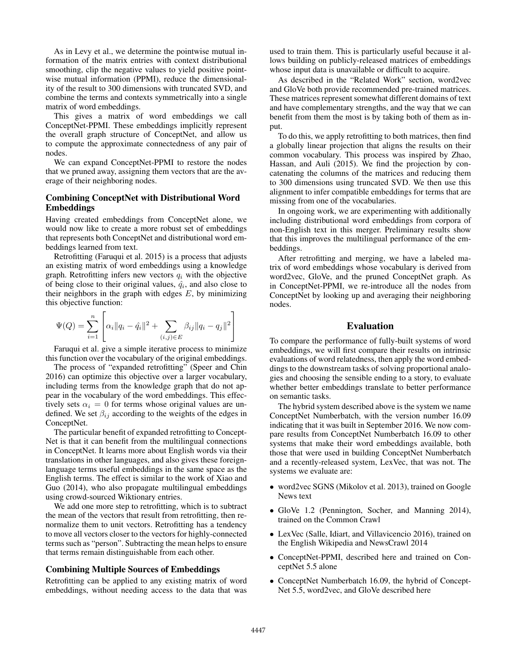As in Levy et al., we determine the pointwise mutual information of the matrix entries with context distributional smoothing, clip the negative values to yield positive pointwise mutual information (PPMI), reduce the dimensionality of the result to 300 dimensions with truncated SVD, and combine the terms and contexts symmetrically into a single matrix of word embeddings.

This gives a matrix of word embeddings we call ConceptNet-PPMI. These embeddings implicitly represent the overall graph structure of ConceptNet, and allow us to compute the approximate connectedness of any pair of nodes.

We can expand ConceptNet-PPMI to restore the nodes that we pruned away, assigning them vectors that are the average of their neighboring nodes.

## Combining ConceptNet with Distributional Word Embeddings

Having created embeddings from ConceptNet alone, we would now like to create a more robust set of embeddings that represents both ConceptNet and distributional word embeddings learned from text.

Retrofitting (Faruqui et al. 2015) is a process that adjusts an existing matrix of word embeddings using a knowledge graph. Retrofitting infers new vectors  $q_i$  with the objective of being close to their original values,  $\hat{q}_i$ , and also close to their neighbors in the graph with edges  $E$ , by minimizing this objective function:

$$
\Psi(Q) = \sum_{i=1}^{n} \left[ \alpha_i ||q_i - \hat{q}_i||^2 + \sum_{(i,j) \in E} \beta_{ij} ||q_i - q_j||^2 \right]
$$

Faruqui et al. give a simple iterative process to minimize this function over the vocabulary of the original embeddings.

The process of "expanded retrofitting" (Speer and Chin 2016) can optimize this objective over a larger vocabulary, including terms from the knowledge graph that do not appear in the vocabulary of the word embeddings. This effectively sets  $\alpha_i = 0$  for terms whose original values are undefined. We set  $\beta_{ij}$  according to the weights of the edges in ConceptNet.

The particular benefit of expanded retrofitting to Concept-Net is that it can benefit from the multilingual connections in ConceptNet. It learns more about English words via their translations in other languages, and also gives these foreignlanguage terms useful embeddings in the same space as the English terms. The effect is similar to the work of Xiao and Guo (2014), who also propagate multilingual embeddings using crowd-sourced Wiktionary entries.

We add one more step to retrofitting, which is to subtract the mean of the vectors that result from retrofitting, then renormalize them to unit vectors. Retrofitting has a tendency to move all vectors closer to the vectors for highly-connected terms such as "person". Subtracting the mean helps to ensure that terms remain distinguishable from each other.

#### Combining Multiple Sources of Embeddings

Retrofitting can be applied to any existing matrix of word embeddings, without needing access to the data that was

used to train them. This is particularly useful because it allows building on publicly-released matrices of embeddings whose input data is unavailable or difficult to acquire.

As described in the "Related Work" section, word2vec and GloVe both provide recommended pre-trained matrices. These matrices represent somewhat different domains of text and have complementary strengths, and the way that we can benefit from them the most is by taking both of them as input.

To do this, we apply retrofitting to both matrices, then find a globally linear projection that aligns the results on their common vocabulary. This process was inspired by Zhao, Hassan, and Auli (2015). We find the projection by concatenating the columns of the matrices and reducing them to 300 dimensions using truncated SVD. We then use this alignment to infer compatible embeddings for terms that are missing from one of the vocabularies.

In ongoing work, we are experimenting with additionally including distributional word embeddings from corpora of non-English text in this merger. Preliminary results show that this improves the multilingual performance of the embeddings.

After retrofitting and merging, we have a labeled matrix of word embeddings whose vocabulary is derived from word2vec, GloVe, and the pruned ConceptNet graph. As in ConceptNet-PPMI, we re-introduce all the nodes from ConceptNet by looking up and averaging their neighboring nodes.

### Evaluation

To compare the performance of fully-built systems of word embeddings, we will first compare their results on intrinsic evaluations of word relatedness, then apply the word embeddings to the downstream tasks of solving proportional analogies and choosing the sensible ending to a story, to evaluate whether better embeddings translate to better performance on semantic tasks.

The hybrid system described above is the system we name ConceptNet Numberbatch, with the version number 16.09 indicating that it was built in September 2016. We now compare results from ConceptNet Numberbatch 16.09 to other systems that make their word embeddings available, both those that were used in building ConceptNet Numberbatch and a recently-released system, LexVec, that was not. The systems we evaluate are:

- word2vec SGNS (Mikolov et al. 2013), trained on Google News text
- GloVe 1.2 (Pennington, Socher, and Manning 2014), trained on the Common Crawl
- LexVec (Salle, Idiart, and Villavicencio 2016), trained on the English Wikipedia and NewsCrawl 2014
- ConceptNet-PPMI, described here and trained on ConceptNet 5.5 alone
- ConceptNet Numberbatch 16.09, the hybrid of Concept-Net 5.5, word2vec, and GloVe described here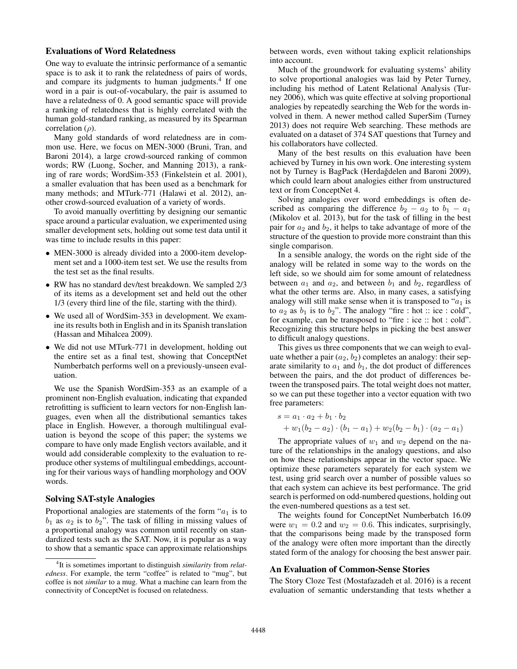## Evaluations of Word Relatedness

One way to evaluate the intrinsic performance of a semantic space is to ask it to rank the relatedness of pairs of words, and compare its judgments to human judgments.<sup>4</sup> If one word in a pair is out-of-vocabulary, the pair is assumed to have a relatedness of 0. A good semantic space will provide a ranking of relatedness that is highly correlated with the human gold-standard ranking, as measured by its Spearman correlation  $(\rho)$ .

Many gold standards of word relatedness are in common use. Here, we focus on MEN-3000 (Bruni, Tran, and Baroni 2014), a large crowd-sourced ranking of common words; RW (Luong, Socher, and Manning 2013), a ranking of rare words; WordSim-353 (Finkelstein et al. 2001), a smaller evaluation that has been used as a benchmark for many methods; and MTurk-771 (Halawi et al. 2012), another crowd-sourced evaluation of a variety of words.

To avoid manually overfitting by designing our semantic space around a particular evaluation, we experimented using smaller development sets, holding out some test data until it was time to include results in this paper:

- MEN-3000 is already divided into a 2000-item development set and a 1000-item test set. We use the results from the test set as the final results.
- RW has no standard dev/test breakdown. We sampled 2/3 of its items as a development set and held out the other 1/3 (every third line of the file, starting with the third).
- We used all of WordSim-353 in development. We examine its results both in English and in its Spanish translation (Hassan and Mihalcea 2009).
- We did not use MTurk-771 in development, holding out the entire set as a final test, showing that ConceptNet Numberbatch performs well on a previously-unseen evaluation.

We use the Spanish WordSim-353 as an example of a prominent non-English evaluation, indicating that expanded retrofitting is sufficient to learn vectors for non-English languages, even when all the distributional semantics takes place in English. However, a thorough multilingual evaluation is beyond the scope of this paper; the systems we compare to have only made English vectors available, and it would add considerable complexity to the evaluation to reproduce other systems of multilingual embeddings, accounting for their various ways of handling morphology and OOV words.

#### Solving SAT-style Analogies

Proportional analogies are statements of the form " $a_1$  is to  $b_1$  as  $a_2$  is to  $b_2$ ". The task of filling in missing values of a proportional analogy was common until recently on standardized tests such as the SAT. Now, it is popular as a way to show that a semantic space can approximate relationships between words, even without taking explicit relationships into account.

Much of the groundwork for evaluating systems' ability to solve proportional analogies was laid by Peter Turney, including his method of Latent Relational Analysis (Turney 2006), which was quite effective at solving proportional analogies by repeatedly searching the Web for the words involved in them. A newer method called SuperSim (Turney 2013) does not require Web searching. These methods are evaluated on a dataset of 374 SAT questions that Turney and his collaborators have collected.

Many of the best results on this evaluation have been achieved by Turney in his own work. One interesting system not by Turney is BagPack (Herdağdelen and Baroni 2009), which could learn about analogies either from unstructured text or from ConceptNet 4.

Solving analogies over word embeddings is often described as comparing the difference  $b_2 - a_2$  to  $b_1 - a_1$ (Mikolov et al. 2013), but for the task of filling in the best pair for  $a_2$  and  $b_2$ , it helps to take advantage of more of the structure of the question to provide more constraint than this single comparison.

In a sensible analogy, the words on the right side of the analogy will be related in some way to the words on the left side, so we should aim for some amount of relatedness between  $a_1$  and  $a_2$ , and between  $b_1$  and  $b_2$ , regardless of what the other terms are. Also, in many cases, a satisfying analogy will still make sense when it is transposed to " $a_1$  is to  $a_2$  as  $b_1$  is to  $b_2$ ". The analogy "fire : hot :: ice : cold", for example, can be transposed to "fire : ice :: hot : cold". Recognizing this structure helps in picking the best answer to difficult analogy questions.

This gives us three components that we can weigh to evaluate whether a pair  $(a_2, b_2)$  completes an analogy: their separate similarity to  $a_1$  and  $b_1$ , the dot product of differences between the pairs, and the dot product of differences between the transposed pairs. The total weight does not matter, so we can put these together into a vector equation with two free parameters:

$$
s = a_1 \cdot a_2 + b_1 \cdot b_2
$$
  
+  $w_1(b_2 - a_2) \cdot (b_1 - a_1) + w_2(b_2 - b_1) \cdot (a_2 - a_1)$ 

The appropriate values of  $w_1$  and  $w_2$  depend on the nature of the relationships in the analogy questions, and also on how these relationships appear in the vector space. We optimize these parameters separately for each system we test, using grid search over a number of possible values so that each system can achieve its best performance. The grid search is performed on odd-numbered questions, holding out the even-numbered questions as a test set.

The weights found for ConceptNet Numberbatch 16.09 were  $w_1 = 0.2$  and  $w_2 = 0.6$ . This indicates, surprisingly, that the comparisons being made by the transposed form of the analogy were often more important than the directly stated form of the analogy for choosing the best answer pair.

#### An Evaluation of Common-Sense Stories

The Story Cloze Test (Mostafazadeh et al. 2016) is a recent evaluation of semantic understanding that tests whether a

<sup>4</sup> It is sometimes important to distinguish *similarity* from *relatedness*. For example, the term "coffee" is related to "mug", but coffee is not *similar* to a mug. What a machine can learn from the connectivity of ConceptNet is focused on relatedness.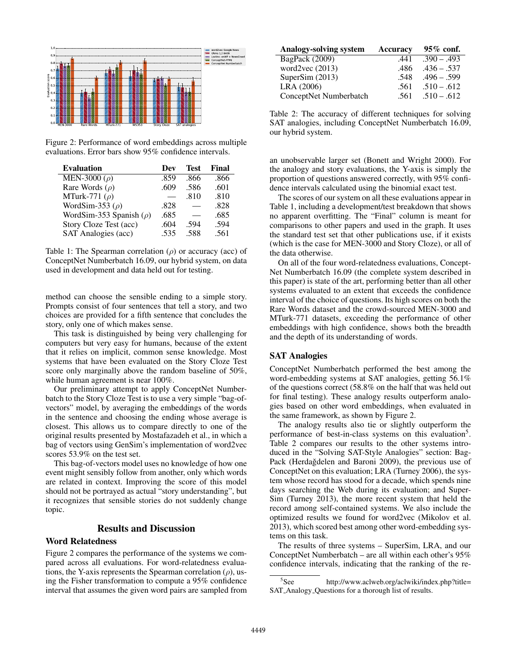

Figure 2: Performance of word embeddings across multiple evaluations. Error bars show 95% confidence intervals.

| <b>Evaluation</b>            | Dev  | <b>Test</b> | Final |
|------------------------------|------|-------------|-------|
| MEN-3000 $(\rho)$            | .859 | .866        | .866  |
| Rare Words $(\rho)$          | .609 | .586        | .601  |
| MTurk-771 $(\rho)$           |      | .810        | .810  |
| WordSim-353 $(\rho)$         | .828 |             | .828  |
| WordSim-353 Spanish $(\rho)$ | .685 |             | .685  |
| Story Cloze Test (acc)       | .604 | .594        | .594  |
| SAT Analogies (acc)          | .535 | .588        | .561  |

Table 1: The Spearman correlation  $(\rho)$  or accuracy (acc) of ConceptNet Numberbatch 16.09, our hybrid system, on data used in development and data held out for testing.

method can choose the sensible ending to a simple story. Prompts consist of four sentences that tell a story, and two choices are provided for a fifth sentence that concludes the story, only one of which makes sense.

This task is distinguished by being very challenging for computers but very easy for humans, because of the extent that it relies on implicit, common sense knowledge. Most systems that have been evaluated on the Story Cloze Test score only marginally above the random baseline of 50%, while human agreement is near 100%.

Our preliminary attempt to apply ConceptNet Numberbatch to the Story Cloze Test is to use a very simple "bag-ofvectors" model, by averaging the embeddings of the words in the sentence and choosing the ending whose average is closest. This allows us to compare directly to one of the original results presented by Mostafazadeh et al., in which a bag of vectors using GenSim's implementation of word2vec scores 53.9% on the test set.

This bag-of-vectors model uses no knowledge of how one event might sensibly follow from another, only which words are related in context. Improving the score of this model should not be portrayed as actual "story understanding", but it recognizes that sensible stories do not suddenly change topic.

### Results and Discussion

## Word Relatedness

Figure 2 compares the performance of the systems we compared across all evaluations. For word-relatedness evaluations, the Y-axis represents the Spearman correlation  $(\rho)$ , using the Fisher transformation to compute a 95% confidence interval that assumes the given word pairs are sampled from

| Analogy-solving system | Accuracy | 95% conf.     |
|------------------------|----------|---------------|
| BagPack (2009)         | .441     | $.390 - .493$ |
| word $2$ vec $(2013)$  | .486     | $.436 - .537$ |
| SuperSim $(2013)$      | .548     | $.496 - .599$ |
| LRA (2006)             | .561     | $.510 - .612$ |
| ConceptNet Numberbatch | .561     | $.510 - .612$ |

Table 2: The accuracy of different techniques for solving SAT analogies, including ConceptNet Numberbatch 16.09, our hybrid system.

an unobservable larger set (Bonett and Wright 2000). For the analogy and story evaluations, the Y-axis is simply the proportion of questions answered correctly, with 95% confidence intervals calculated using the binomial exact test.

The scores of our system on all these evaluations appear in Table 1, including a development/test breakdown that shows no apparent overfitting. The "Final" column is meant for comparisons to other papers and used in the graph. It uses the standard test set that other publications use, if it exists (which is the case for MEN-3000 and Story Cloze), or all of the data otherwise.

On all of the four word-relatedness evaluations, Concept-Net Numberbatch 16.09 (the complete system described in this paper) is state of the art, performing better than all other systems evaluated to an extent that exceeds the confidence interval of the choice of questions. Its high scores on both the Rare Words dataset and the crowd-sourced MEN-3000 and MTurk-771 datasets, exceeding the performance of other embeddings with high confidence, shows both the breadth and the depth of its understanding of words.

#### SAT Analogies

ConceptNet Numberbatch performed the best among the word-embedding systems at SAT analogies, getting 56.1% of the questions correct (58.8% on the half that was held out for final testing). These analogy results outperform analogies based on other word embeddings, when evaluated in the same framework, as shown by Figure 2.

The analogy results also tie or slightly outperform the performance of best-in-class systems on this evaluation<sup>5</sup>. Table 2 compares our results to the other systems introduced in the "Solving SAT-Style Analogies" section: Bag-Pack (Herdağdelen and Baroni 2009), the previous use of ConceptNet on this evaluation; LRA (Turney 2006), the system whose record has stood for a decade, which spends nine days searching the Web during its evaluation; and Super-Sim (Turney 2013), the more recent system that held the record among self-contained systems. We also include the optimized results we found for word2vec (Mikolov et al. 2013), which scored best among other word-embedding systems on this task.

The results of three systems – SuperSim, LRA, and our ConceptNet Numberbatch – are all within each other's 95% confidence intervals, indicating that the ranking of the re-

<sup>&</sup>lt;sup>5</sup>See http://www.aclweb.org/aclwiki/index.php?title= SAT Analogy Questions for a thorough list of results.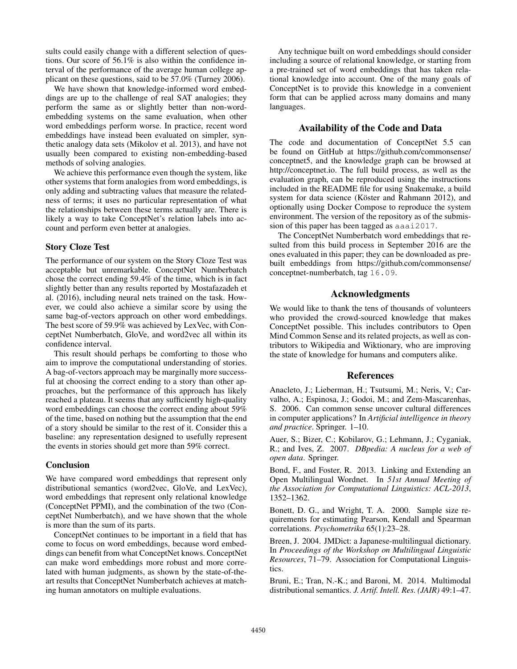sults could easily change with a different selection of questions. Our score of 56.1% is also within the confidence interval of the performance of the average human college applicant on these questions, said to be 57.0% (Turney 2006).

We have shown that knowledge-informed word embeddings are up to the challenge of real SAT analogies; they perform the same as or slightly better than non-wordembedding systems on the same evaluation, when other word embeddings perform worse. In practice, recent word embeddings have instead been evaluated on simpler, synthetic analogy data sets (Mikolov et al. 2013), and have not usually been compared to existing non-embedding-based methods of solving analogies.

We achieve this performance even though the system, like other systems that form analogies from word embeddings, is only adding and subtracting values that measure the relatedness of terms; it uses no particular representation of what the relationships between these terms actually are. There is likely a way to take ConceptNet's relation labels into account and perform even better at analogies.

#### Story Cloze Test

The performance of our system on the Story Cloze Test was acceptable but unremarkable. ConceptNet Numberbatch chose the correct ending 59.4% of the time, which is in fact slightly better than any results reported by Mostafazadeh et al. (2016), including neural nets trained on the task. However, we could also achieve a similar score by using the same bag-of-vectors approach on other word embeddings. The best score of 59.9% was achieved by LexVec, with ConceptNet Numberbatch, GloVe, and word2vec all within its confidence interval.

This result should perhaps be comforting to those who aim to improve the computational understanding of stories. A bag-of-vectors approach may be marginally more successful at choosing the correct ending to a story than other approaches, but the performance of this approach has likely reached a plateau. It seems that any sufficiently high-quality word embeddings can choose the correct ending about 59% of the time, based on nothing but the assumption that the end of a story should be similar to the rest of it. Consider this a baseline: any representation designed to usefully represent the events in stories should get more than 59% correct.

#### Conclusion

We have compared word embeddings that represent only distributional semantics (word2vec, GloVe, and LexVec), word embeddings that represent only relational knowledge (ConceptNet PPMI), and the combination of the two (ConceptNet Numberbatch), and we have shown that the whole is more than the sum of its parts.

ConceptNet continues to be important in a field that has come to focus on word embeddings, because word embeddings can benefit from what ConceptNet knows. ConceptNet can make word embeddings more robust and more correlated with human judgments, as shown by the state-of-theart results that ConceptNet Numberbatch achieves at matching human annotators on multiple evaluations.

Any technique built on word embeddings should consider including a source of relational knowledge, or starting from a pre-trained set of word embeddings that has taken relational knowledge into account. One of the many goals of ConceptNet is to provide this knowledge in a convenient form that can be applied across many domains and many languages.

## Availability of the Code and Data

The code and documentation of ConceptNet 5.5 can be found on GitHub at https://github.com/commonsense/ conceptnet5, and the knowledge graph can be browsed at http://conceptnet.io. The full build process, as well as the evaluation graph, can be reproduced using the instructions included in the README file for using Snakemake, a build system for data science (Köster and Rahmann 2012), and optionally using Docker Compose to reproduce the system environment. The version of the repository as of the submission of this paper has been tagged as aaai2017.

The ConceptNet Numberbatch word embeddings that resulted from this build process in September 2016 are the ones evaluated in this paper; they can be downloaded as prebuilt embeddings from https://github.com/commonsense/ conceptnet-numberbatch, tag 16.09.

# Acknowledgments

We would like to thank the tens of thousands of volunteers who provided the crowd-sourced knowledge that makes ConceptNet possible. This includes contributors to Open Mind Common Sense and its related projects, as well as contributors to Wikipedia and Wiktionary, who are improving the state of knowledge for humans and computers alike.

## References

Anacleto, J.; Lieberman, H.; Tsutsumi, M.; Neris, V.; Carvalho, A.; Espinosa, J.; Godoi, M.; and Zem-Mascarenhas, S. 2006. Can common sense uncover cultural differences in computer applications? In *Artificial intelligence in theory and practice*. Springer. 1–10.

Auer, S.; Bizer, C.; Kobilarov, G.; Lehmann, J.; Cyganiak, R.; and Ives, Z. 2007. *DBpedia: A nucleus for a web of open data*. Springer.

Bond, F., and Foster, R. 2013. Linking and Extending an Open Multilingual Wordnet. In *51st Annual Meeting of the Association for Computational Linguistics: ACL-2013*, 1352–1362.

Bonett, D. G., and Wright, T. A. 2000. Sample size requirements for estimating Pearson, Kendall and Spearman correlations. *Psychometrika* 65(1):23–28.

Breen, J. 2004. JMDict: a Japanese-multilingual dictionary. In *Proceedings of the Workshop on Multilingual Linguistic Resources*, 71–79. Association for Computational Linguistics.

Bruni, E.; Tran, N.-K.; and Baroni, M. 2014. Multimodal distributional semantics. *J. Artif. Intell. Res. (JAIR)* 49:1–47.